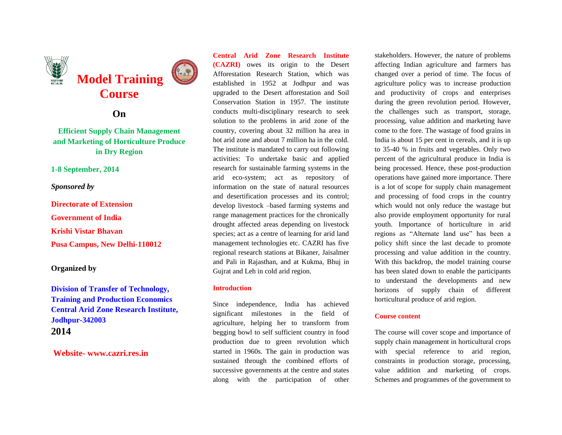

# **On**

# **Efficient Supply Chain Management and Marketing of Horticulture Produce in Dry Region**

## **1-8 September, 2014**

# *Sponsored by*

**Directorate of Extension Government of India Krishi Vistar Bhavan Pusa Campus, New Delhi-110012**

## **Organized by**

**Division of Transfer of Technology, Training and Production Economics Central Arid Zone Research Institute, Jodhpur-342003 2014**

**Website- www.cazri.res.in**

**Central Arid Zone Research Institute (CAZRI)** owes its origin to the Desert Afforestation Research Station, which was established in 1952 at Jodhpur and was upgraded to the Desert afforestation and Soil Conservation Station in 1957. The institute conducts multi-disciplinary research to seek solution to the problems in arid zone of the country, covering about 32 million ha area in hot arid zone and about 7 million ha in the cold. The institute is mandated to carry out following activities: To undertake basic and applied research for sustainable farming systems in the arid eco-system; act as repository of information on the state of natural resources and desertification processes and its control; develop livestock –based farming systems and range management practices for the chronically drought affected areas depending on livestock species; act as a centre of learning for arid land management technologies etc. CAZRI has five regional research stations at Bikaner, Jaisalmer and Pali in Rajasthan, and at Kukma, Bhuj in Gujrat and Leh in cold arid region.

## **Introduction**

Since independence, India has achieved significant milestones in the field of agriculture, helping her to transform from begging bowl to self sufficient country in food production due to green revolution which started in 1960s. The gain in production was sustained through the combined efforts of successive governments at the centre and states along with the participation of other stakeholders. However, the nature of problems affecting Indian agriculture and farmers has changed over a period of time. The focus of agriculture policy was to increase production and productivity of crops and enterprises during the green revolution period. However, the challenges such as transport, storage, processing, value addition and marketing have come to the fore. The wastage of food grains in India is about 15 per cent in cereals, and it is up to 35-40 % in fruits and vegetables. Only two percent of the agricultural produce in India is being processed. Hence, these post-production operations have gained more importance. There is a lot of scope for supply chain management and processing of food crops in the country which would not only reduce the wastage but also provide employment opportunity for rural youth. Importance of horticulture in arid regions as "Alternate land use" has been a policy shift since the last decade to promote processing and value addition in the country. With this backdrop, the model training course has been slated down to enable the participants to understand the developments and new horizons of supply chain of different horticultural produce of arid region.

# **Course content**

The course will cover scope and importance of supply chain management in horticultural crops with special reference to arid region, constraints in production storage, processing, value addition and marketing of crops. Schemes and programmes of the government to